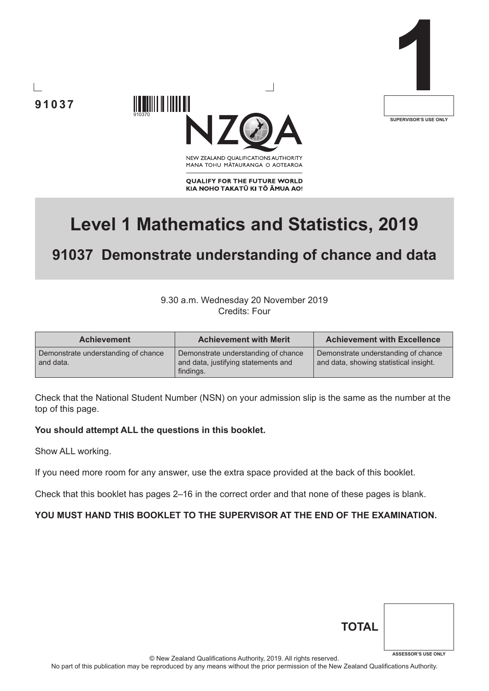



NEW ZEALAND OUALIFICATIONS AUTHORITY MANA TOHU MATAURANGA O AOTEAROA

**QUALIFY FOR THE FUTURE WORLD** KIA NOHO TAKATŪ KI TŌ ĀMUA AO!

# **Level 1 Mathematics and Statistics, 2019**

# **91037 Demonstrate understanding of chance and data**

### 9.30 a.m. Wednesday 20 November 2019 Credits: Four

| <b>Achievement</b>                               | <b>Achievement with Merit</b>                                                           | <b>Achievement with Excellence</b>                                            |
|--------------------------------------------------|-----------------------------------------------------------------------------------------|-------------------------------------------------------------------------------|
| Demonstrate understanding of chance<br>and data. | Demonstrate understanding of chance<br>and data, justifying statements and<br>findings. | Demonstrate understanding of chance<br>and data, showing statistical insight. |

Check that the National Student Number (NSN) on your admission slip is the same as the number at the top of this page.

#### **You should attempt ALL the questions in this booklet.**

910370

IIIII IIIIIIIII

Show ALL working.

If you need more room for any answer, use the extra space provided at the back of this booklet.

Check that this booklet has pages 2–16 in the correct order and that none of these pages is blank.

#### **YOU MUST HAND THIS BOOKLET TO THE SUPERVISOR AT THE END OF THE EXAMINATION.**

| <b>TOTAL</b> |                            |
|--------------|----------------------------|
|              | <b>ASSESSOR'S USE ONLY</b> |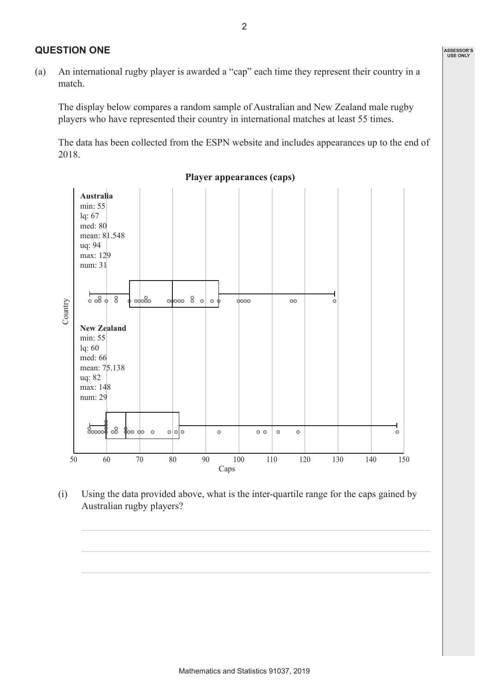#### **QUESTION ONE**

(a) An international rugby player is awarded a "cap" each time they represent their country in a match.

The display below compares a random sample of Australian and New Zealand male rugby players who have represented their country in international matches at least 55 times.

The data has been collected from the ESPN website and includes appearances up to the end of 2018.



**Player appearances (caps)**

(i) Using the data provided above, what is the inter-quartile range for the caps gained by Australian rugby players?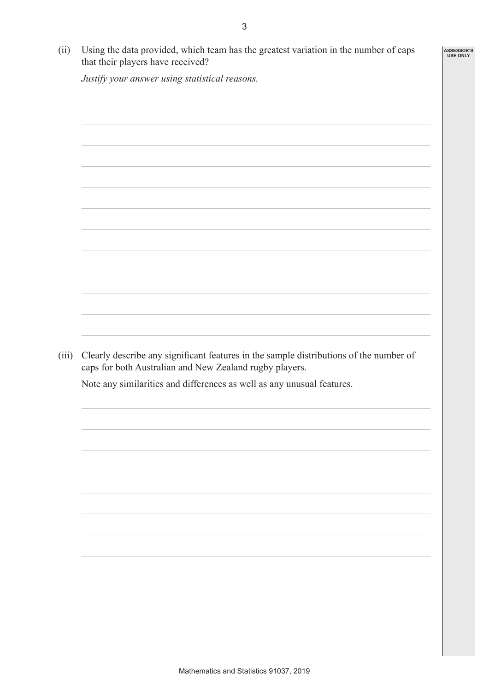**ASSESSOR'S USE ONLY**

(ii) Using the data provided, which team has the greatest variation in the number of caps that their players have received?

*Justify your answer using statistical reasons.*

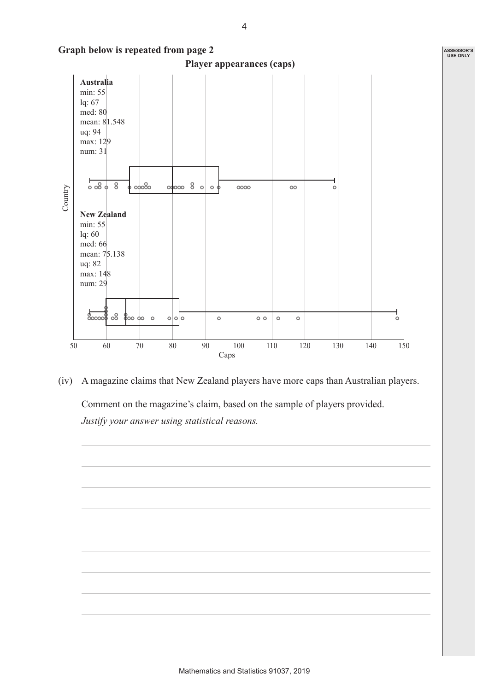

(iv) A magazine claims that New Zealand players have more caps than Australian players.

Comment on the magazine's claim, based on the sample of players provided. *Justify your answer using statistical reasons.*

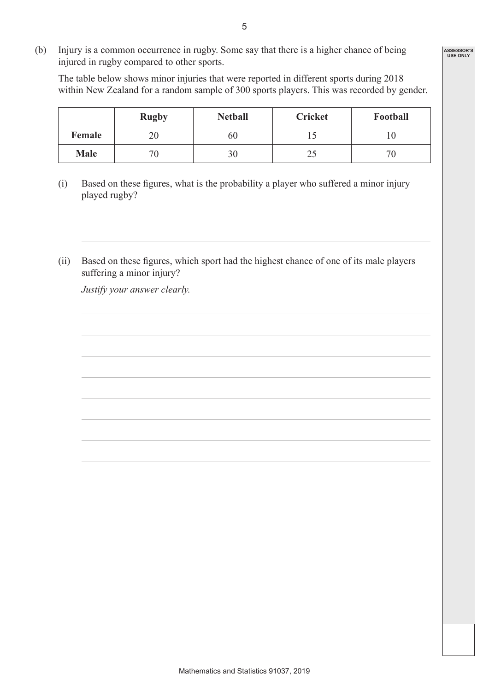(b) Injury is a common occurrence in rugby. Some say that there is a higher chance of being injured in rugby compared to other sports.

The table below shows minor injuries that were reported in different sports during 2018 within New Zealand for a random sample of 300 sports players. This was recorded by gender.

|             | <b>Rugby</b> | <b>Netball</b> | <b>Cricket</b> | Football       |
|-------------|--------------|----------------|----------------|----------------|
| Female      | 20           | 60             | 1 J            | . U            |
| <b>Male</b> | 70           | 30             | ر 2            | 7 <sub>0</sub> |

- (i) Based on these figures, what is the probability a player who suffered a minor injury played rugby?
- (ii) Based on these figures, which sport had the highest chance of one of its male players suffering a minor injury?

*Justify your answer clearly.*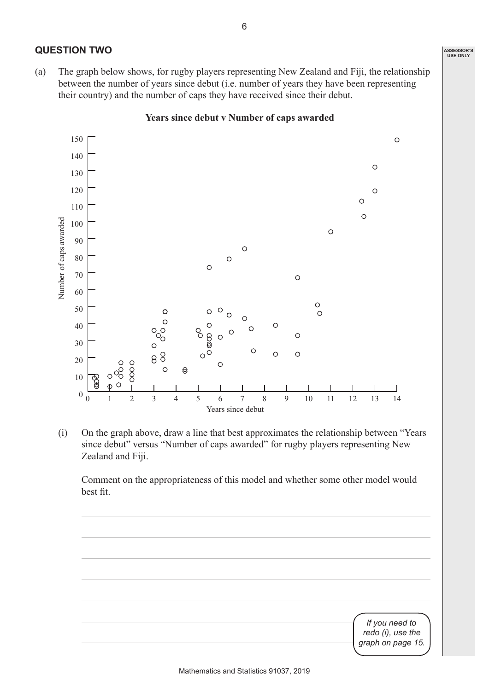**ASSESSOR'S USE ONLY**

# **QUESTION TWO**

(a) The graph below shows, for rugby players representing New Zealand and Fiji, the relationship between the number of years since debut (i.e. number of years they have been representing their country) and the number of caps they have received since their debut.



#### **Years since debut v Number of caps awarded**

(i) On the graph above, draw a line that best approximates the relationship between "Years since debut" versus "Number of caps awarded" for rugby players representing New Zealand and Fiji.

Comment on the appropriateness of this model and whether some other model would best fit.

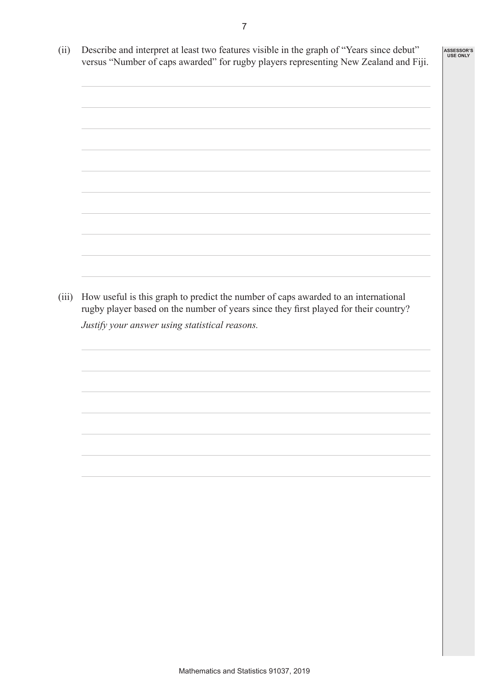(ii) Describe and interpret at least two features visible in the graph of "Years since debut" versus "Number of caps awarded" for rugby players representing New Zealand and Fiji. (iii) How useful is this graph to predict the number of caps awarded to an international rugby player based on the number of years since they first played for their country? *Justify your answer using statistical reasons.* **ASSESSOR'S USE ONLY**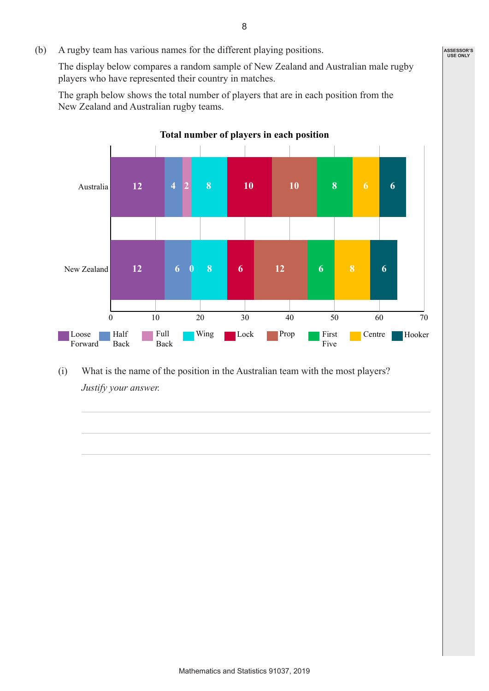(b) A rugby team has various names for the different playing positions.

The display below compares a random sample of New Zealand and Australian male rugby players who have represented their country in matches.

The graph below shows the total number of players that are in each position from the New Zealand and Australian rugby teams.



**Total number of players in each position**

(i) What is the name of the position in the Australian team with the most players? *Justify your answer.*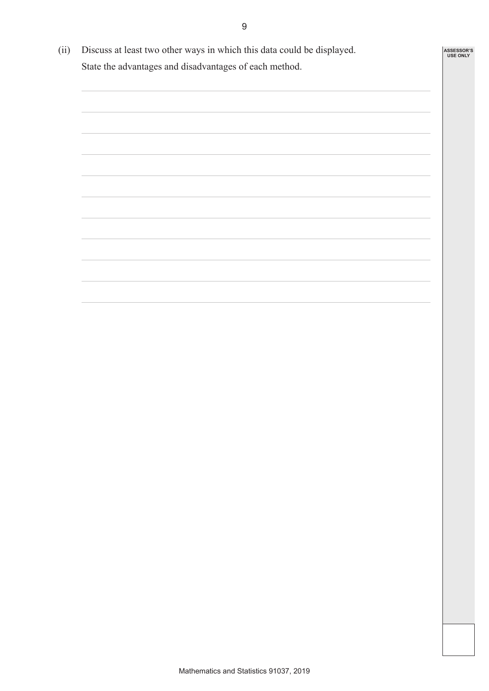(ii) Discuss at least two other ways in which this data could be displayed. State the advantages and disadvantages of each method.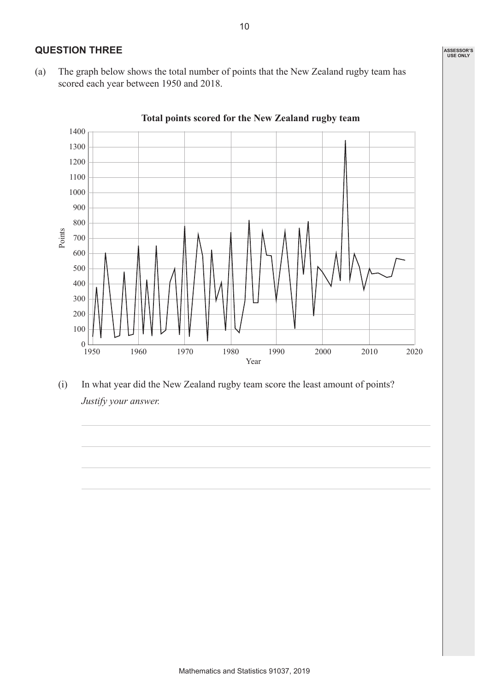# **QUESTION THREE**

(a) The graph below shows the total number of points that the New Zealand rugby team has scored each year between 1950 and 2018.

 $0 \frac{1}{1950}$ 100 200 300 400 500 600 700 800 900 1000 1100 1200 1300 1400 1950 1960 1970 1980 1990 2000 2010 2020 Year Points

### **Total points scored for the New Zealand rugby team**

(i) In what year did the New Zealand rugby team score the least amount of points? *Justify your answer.*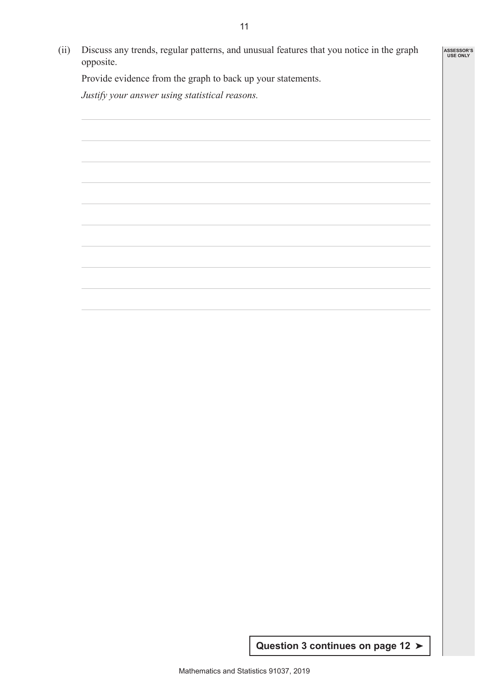(ii) Discuss any trends, regular patterns, and unusual features that you notice in the graph opposite. **ASSESSOR'S USE ONLY**

Provide evidence from the graph to back up your statements.

*Justify your answer using statistical reasons.*

**Question 3 continues on page 12** ➤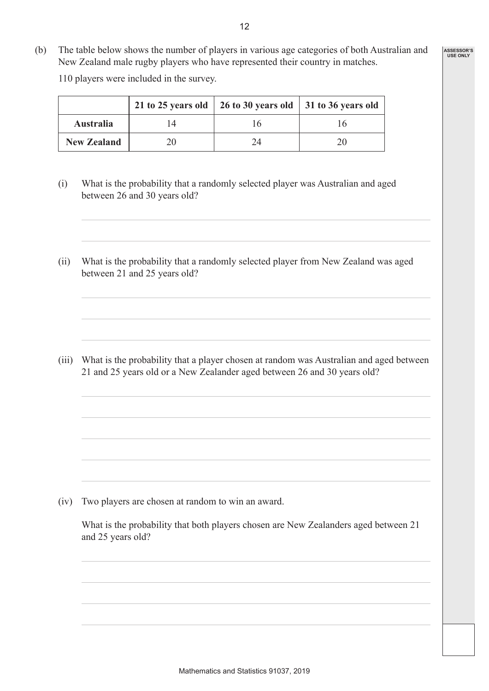- **ASSESSOR'S USE ONLY**
- (b) The table below shows the number of players in various age categories of both Australian and New Zealand male rugby players who have represented their country in matches.

110 players were included in the survey.

|                    | 21 to 25 years old $\vert$ 26 to 30 years old $\vert$ 31 to 36 years old |  |
|--------------------|--------------------------------------------------------------------------|--|
| <b>Australia</b>   |                                                                          |  |
| <b>New Zealand</b> | 74                                                                       |  |

- (i) What is the probability that a randomly selected player was Australian and aged between 26 and 30 years old?
- (ii) What is the probability that a randomly selected player from New Zealand was aged between 21 and 25 years old?

(iii) What is the probability that a player chosen at random was Australian and aged between 21 and 25 years old or a New Zealander aged between 26 and 30 years old?

(iv) Two players are chosen at random to win an award.

What is the probability that both players chosen are New Zealanders aged between 21 and 25 years old?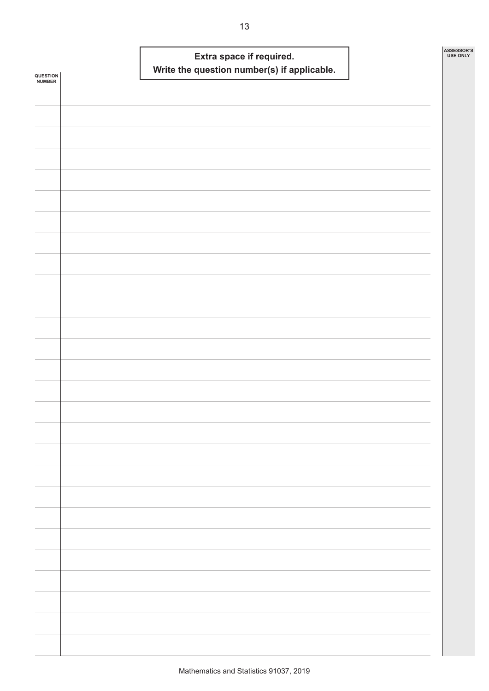|                            |  | Extra space if required. | Write the question number(s) if applicable. |  | ASSESSOR'S<br><b>USE ONLY</b> |
|----------------------------|--|--------------------------|---------------------------------------------|--|-------------------------------|
| <b>QUESTION<br/>NUMBER</b> |  |                          |                                             |  |                               |
|                            |  |                          |                                             |  |                               |
|                            |  |                          |                                             |  |                               |
|                            |  |                          |                                             |  |                               |
|                            |  |                          |                                             |  |                               |
|                            |  |                          |                                             |  |                               |
|                            |  |                          |                                             |  |                               |
|                            |  |                          |                                             |  |                               |
|                            |  |                          |                                             |  |                               |
|                            |  |                          |                                             |  |                               |
|                            |  |                          |                                             |  |                               |
|                            |  |                          |                                             |  |                               |
|                            |  |                          |                                             |  |                               |
|                            |  |                          |                                             |  |                               |
|                            |  |                          |                                             |  |                               |
|                            |  |                          |                                             |  |                               |
|                            |  |                          |                                             |  |                               |
|                            |  |                          |                                             |  |                               |
|                            |  |                          |                                             |  |                               |
|                            |  |                          |                                             |  |                               |
|                            |  |                          |                                             |  |                               |
|                            |  |                          |                                             |  |                               |
|                            |  |                          |                                             |  |                               |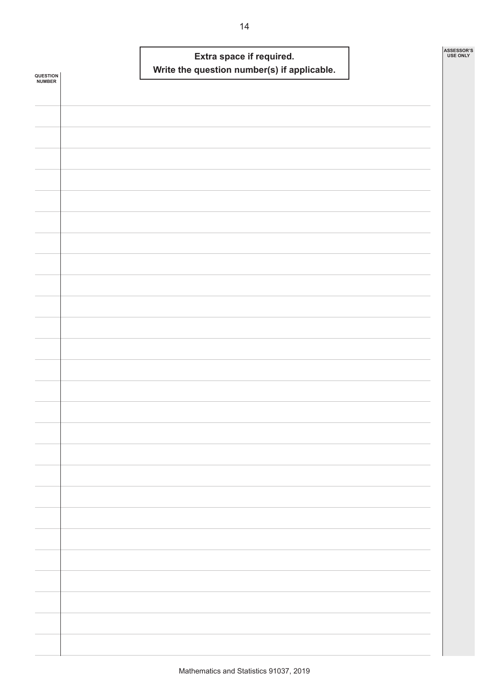| <b>QUESTION<br/>NUMBER</b> |  | Extra space if required. | Write the question number(s) if applicable. |  | ASSESSOR'S<br><b>USE ONLY</b> |
|----------------------------|--|--------------------------|---------------------------------------------|--|-------------------------------|
|                            |  |                          |                                             |  |                               |
|                            |  |                          |                                             |  |                               |
|                            |  |                          |                                             |  |                               |
|                            |  |                          |                                             |  |                               |
|                            |  |                          |                                             |  |                               |
|                            |  |                          |                                             |  |                               |
|                            |  |                          |                                             |  |                               |
|                            |  |                          |                                             |  |                               |
|                            |  |                          |                                             |  |                               |
|                            |  |                          |                                             |  |                               |
|                            |  |                          |                                             |  |                               |
|                            |  |                          |                                             |  |                               |
|                            |  |                          |                                             |  |                               |
|                            |  |                          |                                             |  |                               |
|                            |  |                          |                                             |  |                               |
|                            |  |                          |                                             |  |                               |
|                            |  |                          |                                             |  |                               |
|                            |  |                          |                                             |  |                               |
|                            |  |                          |                                             |  |                               |
|                            |  |                          |                                             |  |                               |
|                            |  |                          |                                             |  |                               |
|                            |  |                          |                                             |  |                               |
|                            |  |                          |                                             |  |                               |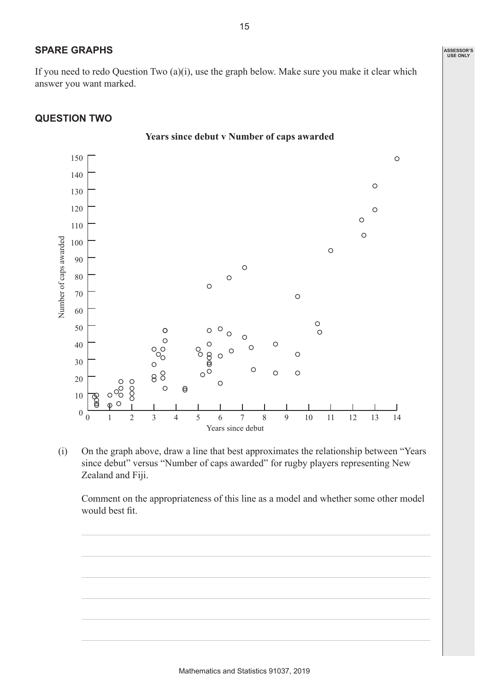If you need to redo Question Two (a)(i), use the graph below. Make sure you make it clear which answer you want marked.

# **QUESTION TWO**

**SPARE GRAPHS**



(i) On the graph above, draw a line that best approximates the relationship between "Years since debut" versus "Number of caps awarded" for rugby players representing New Zealand and Fiji.

Comment on the appropriateness of this line as a model and whether some other model would best fit.